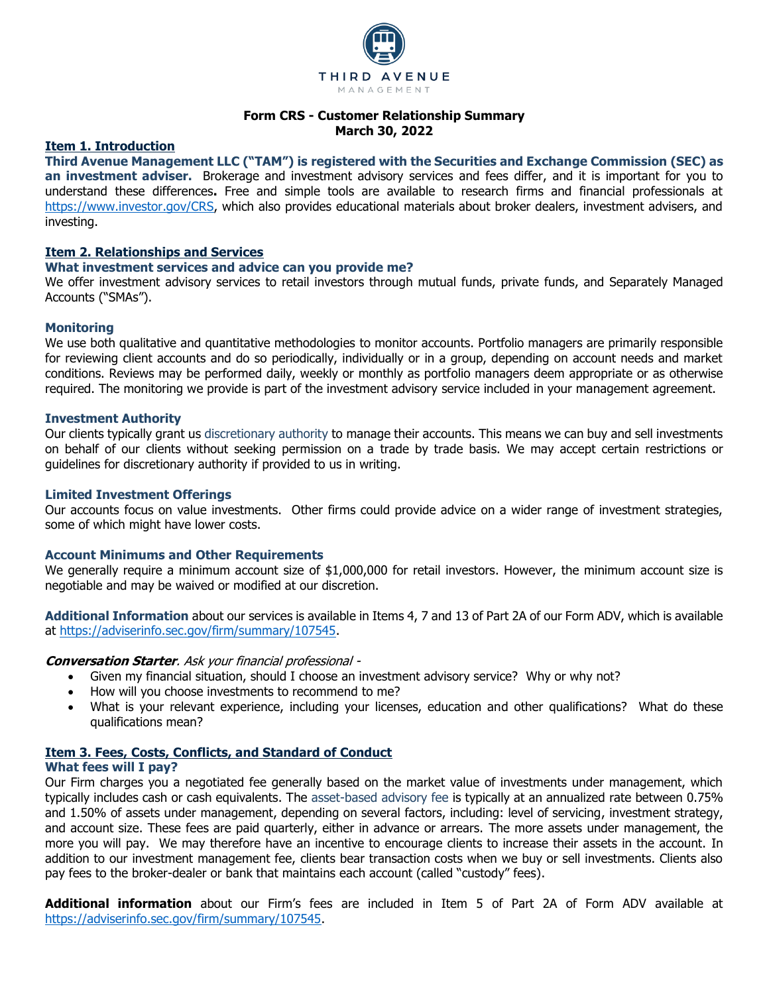

# **Form CRS - Customer Relationship Summary March 30, 2022**

## **Item 1. Introduction**

**Third Avenue Management LLC ("TAM") is registered with the Securities and Exchange Commission (SEC) as an investment adviser.** Brokerage and investment advisory services and fees differ, and it is important for you to understand these differences**.** Free and simple tools are available to research firms and financial professionals at [https://www.investor.gov/CRS,](https://www.investor.gov/CRS) which also provides educational materials about broker dealers, investment advisers, and investing.

# **Item 2. Relationships and Services**

## **What investment services and advice can you provide me?**

We offer investment advisory services to retail investors through mutual funds, private funds, and Separately Managed Accounts ("SMAs").

# **Monitoring**

We use both qualitative and quantitative methodologies to monitor accounts. Portfolio managers are primarily responsible for reviewing client accounts and do so periodically, individually or in a group, depending on account needs and market conditions. Reviews may be performed daily, weekly or monthly as portfolio managers deem appropriate or as otherwise required. The monitoring we provide is part of the investment advisory service included in your management agreement.

## **Investment Authority**

Our clients typically grant us discretionary authority to manage their accounts. This means we can buy and sell investments on behalf of our clients without seeking permission on a trade by trade basis. We may accept certain restrictions or guidelines for discretionary authority if provided to us in writing.

#### **Limited Investment Offerings**

Our accounts focus on value investments. Other firms could provide advice on a wider range of investment strategies, some of which might have lower costs.

## **Account Minimums and Other Requirements**

We generally require a minimum account size of \$1,000,000 for retail investors. However, the minimum account size is negotiable and may be waived or modified at our discretion.

**Additional Information** about our services is available in Items 4, 7 and 13 of Part 2A of our Form ADV, which is available at [https://adviserinfo.sec.gov/firm/summary/107545.](https://adviserinfo.sec.gov/firm/summary/107545)

## **Conversation Starter**. Ask your financial professional -

- Given my financial situation, should I choose an investment advisory service? Why or why not?
- How will you choose investments to recommend to me?
- What is your relevant experience, including your licenses, education and other qualifications? What do these qualifications mean?

# **Item 3. Fees, Costs, Conflicts, and Standard of Conduct**

# **What fees will I pay?**

Our Firm charges you a negotiated fee generally based on the market value of investments under management, which typically includes cash or cash equivalents. The asset-based advisory fee is typically at an annualized rate between 0.75% and 1.50% of assets under management, depending on several factors, including: level of servicing, investment strategy, and account size. These fees are paid quarterly, either in advance or arrears. The more assets under management, the more you will pay. We may therefore have an incentive to encourage clients to increase their assets in the account. In addition to our investment management fee, clients bear transaction costs when we buy or sell investments. Clients also pay fees to the broker-dealer or bank that maintains each account (called "custody" fees).

**Additional information** about our Firm's fees are included in Item 5 of Part 2A of Form ADV available at [https://adviserinfo.sec.gov/firm/summary/107545.](https://adviserinfo.sec.gov/firm/summary/107545)